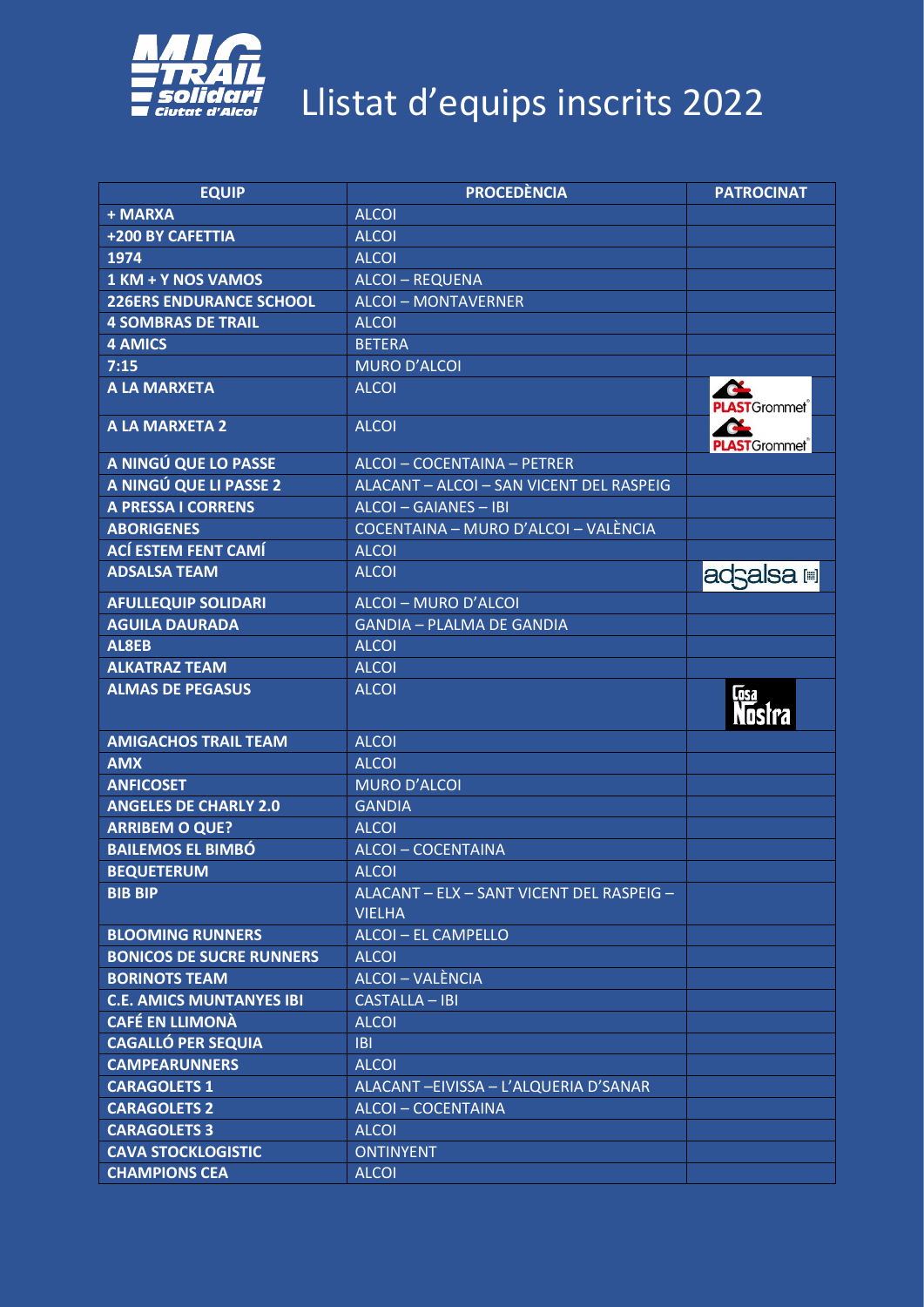

| <b>EQUIP</b>                    | <b>PROCEDÈNCIA</b>                                         | <b>PATROCINAT</b>            |
|---------------------------------|------------------------------------------------------------|------------------------------|
| + MARXA                         | <b>ALCOI</b>                                               |                              |
| +200 BY CAFETTIA                | <b>ALCOI</b>                                               |                              |
| 1974                            | <b>ALCOI</b>                                               |                              |
| 1 KM + Y NOS VAMOS              | <b>ALCOI-REQUENA</b>                                       |                              |
| <b>226ERS ENDURANCE SCHOOL</b>  | <b>ALCOI - MONTAVERNER</b>                                 |                              |
| <b>4 SOMBRAS DE TRAIL</b>       | <b>ALCOI</b>                                               |                              |
| <b>4 AMICS</b>                  | <b>BETERA</b>                                              |                              |
| 7:15                            | <b>MURO D'ALCOI</b>                                        |                              |
| <b>A LA MARXETA</b>             | <b>ALCOI</b>                                               | Œ<br><b>PLAST</b> Grommet®   |
| <b>A LA MARXETA 2</b>           | <b>ALCOI</b>                                               | Ch.<br><b>PLAST</b> Grommet® |
| A NINGÚ QUE LO PASSE            | ALCOI - COCENTAINA - PETRER                                |                              |
| A NINGÚ QUE LI PASSE 2          | ALACANT - ALCOI - SAN VICENT DEL RASPEIG                   |                              |
| <b>A PRESSA I CORRENS</b>       | ALCOI - GAIANES - IBI                                      |                              |
| <b>ABORIGENES</b>               | COCENTAINA - MURO D'ALCOI - VALÈNCIA                       |                              |
| <b>ACÍ ESTEM FENT CAMÍ</b>      | <b>ALCOI</b>                                               |                              |
| <b>ADSALSA TEAM</b>             | <b>ALCOI</b>                                               | adsalsa i                    |
| <b>AFULLEQUIP SOLIDARI</b>      | ALCOI - MURO D'ALCOI                                       |                              |
| <b>AGUILA DAURADA</b>           | <b>GANDIA - PLALMA DE GANDIA</b>                           |                              |
| AL8EB                           | <b>ALCOI</b>                                               |                              |
| <b>ALKATRAZ TEAM</b>            | <b>ALCOI</b>                                               |                              |
| <b>ALMAS DE PEGASUS</b>         | <b>ALCOI</b>                                               | <u>जित</u><br><b>Nostra</b>  |
| <b>AMIGACHOS TRAIL TEAM</b>     | <b>ALCOI</b>                                               |                              |
| <b>AMX</b>                      | <b>ALCOI</b>                                               |                              |
| <b>ANFICOSET</b>                | <b>MURO D'ALCOI</b>                                        |                              |
| <b>ANGELES DE CHARLY 2.0</b>    | <b>GANDIA</b>                                              |                              |
| <b>ARRIBEM O QUE?</b>           | <b>ALCOI</b>                                               |                              |
| <b>BAILEMOS EL BIMBÓ</b>        | ALCOI - COCENTAINA                                         |                              |
| <b>BEQUETERUM</b>               | <b>ALCOI</b>                                               |                              |
| <b>BIB BIP</b>                  | ALACANT - ELX - SANT VICENT DEL RASPEIG -<br><b>VIELHA</b> |                              |
| <b>BLOOMING RUNNERS</b>         | ALCOI - EL CAMPELLO                                        |                              |
| <b>BONICOS DE SUCRE RUNNERS</b> | <b>ALCOI</b>                                               |                              |
| <b>BORINOTS TEAM</b>            | ALCOI - VALÈNCIA                                           |                              |
| <b>C.E. AMICS MUNTANYES IBI</b> | <b>CASTALLA - IBI</b>                                      |                              |
| <b>CAFÉ EN LLIMONÀ</b>          | <b>ALCOI</b>                                               |                              |
| <b>CAGALLÓ PER SEQUIA</b>       | <b>IBI</b>                                                 |                              |
| <b>CAMPEARUNNERS</b>            | <b>ALCOI</b>                                               |                              |
| <b>CARAGOLETS 1</b>             | ALACANT-EIVISSA - L'ALQUERIA D'SANAR                       |                              |
| <b>CARAGOLETS 2</b>             | ALCOI-COCENTAINA                                           |                              |
| <b>CARAGOLETS 3</b>             | <b>ALCOI</b>                                               |                              |
| <b>CAVA STOCKLOGISTIC</b>       | <b>ONTINYENT</b>                                           |                              |
| <b>CHAMPIONS CEA</b>            | <b>ALCOI</b>                                               |                              |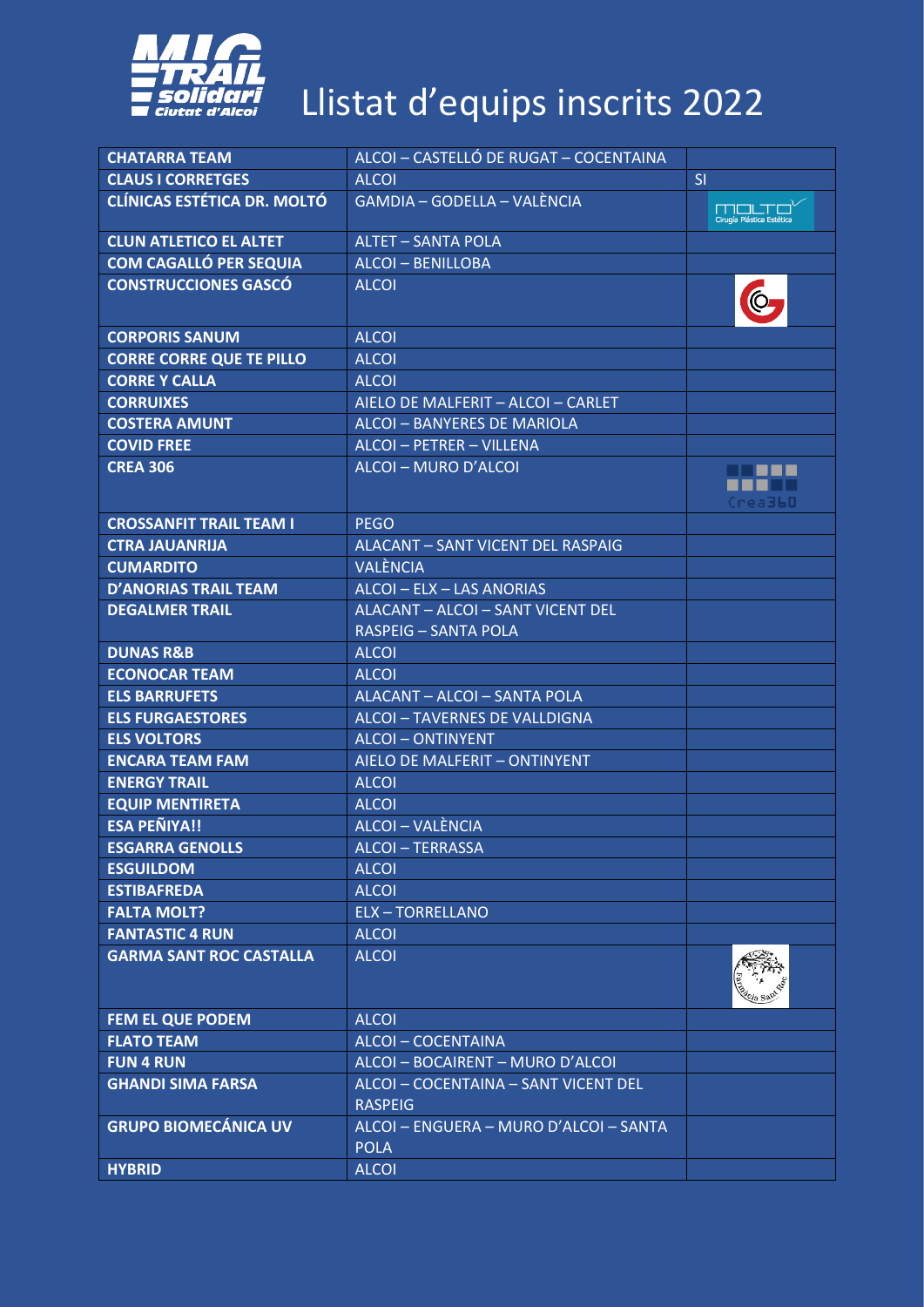

| <b>CHATARRA TEAM</b>               | ALCOI - CASTELLÓ DE RUGAT - COCENTAINA                |                                    |
|------------------------------------|-------------------------------------------------------|------------------------------------|
| <b>CLAUS I CORRETGES</b>           | <b>ALCOI</b>                                          | SI                                 |
| <b>CLÍNICAS ESTÉTICA DR. MOLTÓ</b> | GAMDIA - GODELLA - VALÈNCIA                           | mouto<br>Cirugía Plástica Estética |
| <b>CLUN ATLETICO EL ALTET</b>      | <b>ALTET - SANTA POLA</b>                             |                                    |
| <b>COM CAGALLÓ PER SEQUIA</b>      | <b>ALCOI - BENILLOBA</b>                              |                                    |
| <b>CONSTRUCCIONES GASCÓ</b>        | <b>ALCOI</b>                                          |                                    |
| <b>CORPORIS SANUM</b>              | <b>ALCOI</b>                                          |                                    |
| <b>CORRE CORRE QUE TE PILLO</b>    | <b>ALCOI</b>                                          |                                    |
| <b>CORRE Y CALLA</b>               | <b>ALCOI</b>                                          |                                    |
| <b>CORRUIXES</b>                   | AIELO DE MALFERIT - ALCOI - CARLET                    |                                    |
| <b>COSTERA AMUNT</b>               | ALCOI - BANYERES DE MARIOLA                           |                                    |
| <b>COVID FREE</b>                  | ALCOI - PETRER - VILLENA                              |                                    |
| <b>CREA 306</b>                    | ALCOI - MURO D'ALCOI                                  | .<br>Crea <b>360</b>               |
| <b>CROSSANFIT TRAIL TEAM I</b>     | <b>PEGO</b>                                           |                                    |
| <b>CTRA JAUANRIJA</b>              | ALACANT - SANT VICENT DEL RASPAIG                     |                                    |
| <b>CUMARDITO</b>                   | <b>VALÈNCIA</b>                                       |                                    |
| <b>D'ANORIAS TRAIL TEAM</b>        | ALCOI - ELX - LAS ANORIAS                             |                                    |
| <b>DEGALMER TRAIL</b>              | ALACANT - ALCOI - SANT VICENT DEL                     |                                    |
|                                    | <b>RASPEIG - SANTA POLA</b>                           |                                    |
| <b>DUNAS R&amp;B</b>               | <b>ALCOI</b>                                          |                                    |
| <b>ECONOCAR TEAM</b>               | <b>ALCOI</b>                                          |                                    |
| <b>ELS BARRUFETS</b>               | ALACANT - ALCOI - SANTA POLA                          |                                    |
| <b>ELS FURGAESTORES</b>            | ALCOI - TAVERNES DE VALLDIGNA                         |                                    |
| <b>ELS VOLTORS</b>                 | <b>ALCOI-ONTINYENT</b>                                |                                    |
| <b>ENCARA TEAM FAM</b>             | AIELO DE MALFERIT - ONTINYENT                         |                                    |
| <b>ENERGY TRAIL</b>                | <b>ALCOL</b>                                          |                                    |
| <b>EQUIP MENTIRETA</b>             | <b>ALCOI</b>                                          |                                    |
| <b>ESA PEÑIYA!!</b>                | ALCOI - VALÈNCIA                                      |                                    |
| <b>ESGARRA GENOLLS</b>             | <b>ALCOI-TERRASSA</b>                                 |                                    |
| <b>ESGUILDOM</b>                   | <b>ALCOI</b>                                          |                                    |
| <b>ESTIBAFREDA</b>                 | <b>ALCOI</b>                                          |                                    |
| <b>FALTA MOLT?</b>                 | <b>ELX-TORRELLANO</b>                                 |                                    |
| <b>FANTASTIC 4 RUN</b>             | <b>ALCOI</b>                                          |                                    |
| <b>GARMA SANT ROC CASTALLA</b>     | <b>ALCOI</b>                                          |                                    |
| <b>FEM EL QUE PODEM</b>            | <b>ALCOI</b>                                          |                                    |
| <b>FLATO TEAM</b>                  | ALCOI-COCENTAINA                                      |                                    |
| <b>FUN 4 RUN</b>                   | ALCOI - BOCAIRENT - MURO D'ALCOI                      |                                    |
| <b>GHANDI SIMA FARSA</b>           | ALCOI - COCENTAINA - SANT VICENT DEL                  |                                    |
|                                    | <b>RASPEIG</b>                                        |                                    |
| <b>GRUPO BIOMECÁNICA UV</b>        | ALCOI - ENGUERA - MURO D'ALCOI - SANTA<br><b>POLA</b> |                                    |
| <b>HYBRID</b>                      | <b>ALCOI</b>                                          |                                    |
|                                    |                                                       |                                    |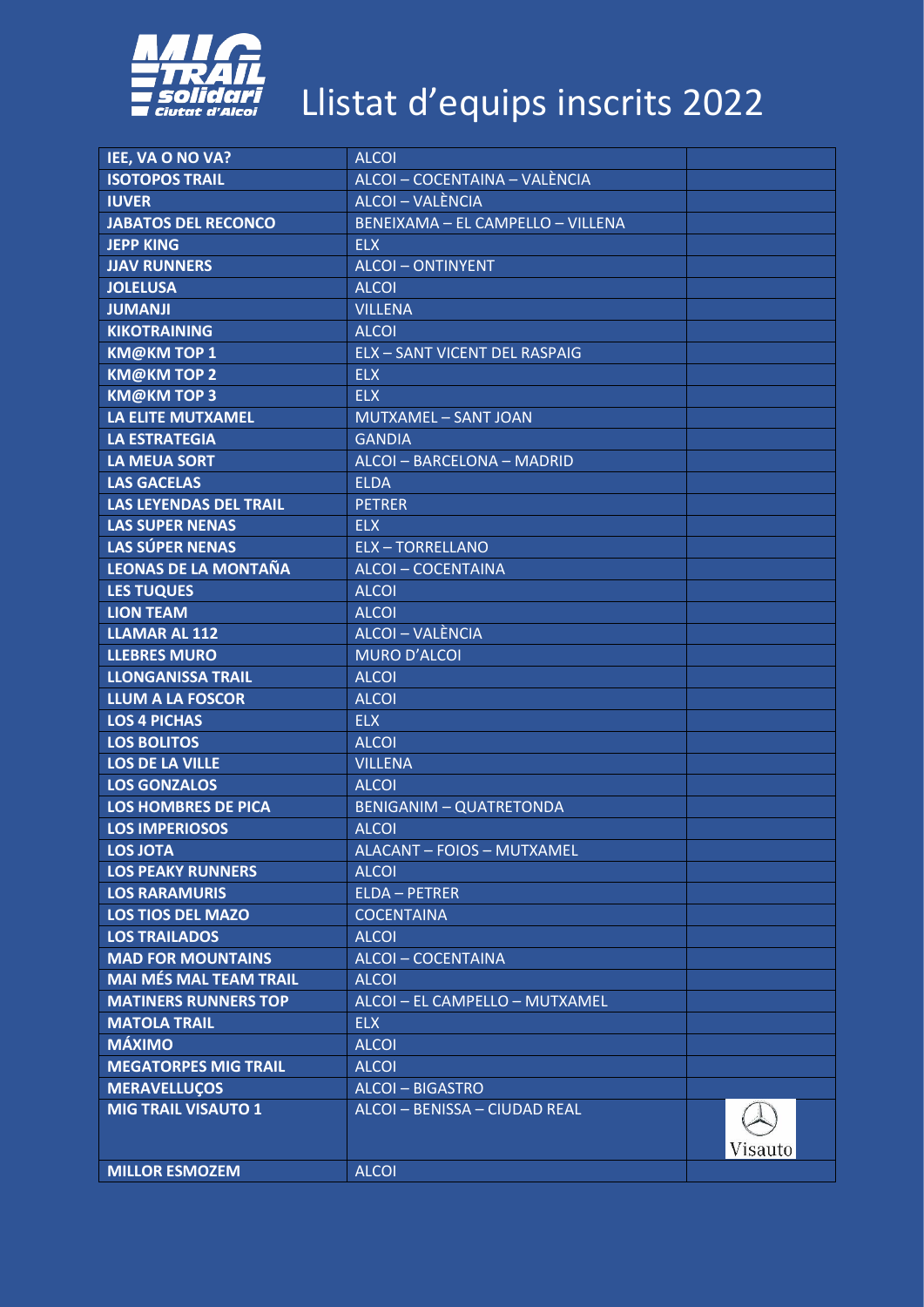

| IEE, VA O NO VA?              | <b>ALCOI</b>                         |         |
|-------------------------------|--------------------------------------|---------|
| <b>ISOTOPOS TRAIL</b>         | ALCOI - COCENTAINA - VALÈNCIA        |         |
| <b>IUVER</b>                  | ALCOI - VALÈNCIA                     |         |
| <b>JABATOS DEL RECONCO</b>    | BENEIXAMA - EL CAMPELLO - VILLENA    |         |
| <b>JEPP KING</b>              | <b>ELX</b>                           |         |
| <b>JJAV RUNNERS</b>           | <b>ALCOI-ONTINYENT</b>               |         |
| <b>JOLELUSA</b>               | <b>ALCOI</b>                         |         |
| <b>JUMANJI</b>                | <b>VILLENA</b>                       |         |
| <b>KIKOTRAINING</b>           | <b>ALCOI</b>                         |         |
| <b>KM@KMTOP1</b>              | <b>ELX - SANT VICENT DEL RASPAIG</b> |         |
| <b>KM@KMTOP2</b>              | <b>ELX</b>                           |         |
| <b>KM@KMTOP3</b>              | <b>ELX</b>                           |         |
| <b>LA ELITE MUTXAMEL</b>      | MUTXAMEL - SANT JOAN                 |         |
| <b>LA ESTRATEGIA</b>          | <b>GANDIA</b>                        |         |
| <b>LA MEUA SORT</b>           | ALCOI - BARCELONA - MADRID           |         |
| <b>LAS GACELAS</b>            | <b>ELDA</b>                          |         |
| <b>LAS LEYENDAS DEL TRAIL</b> | <b>PETRER</b>                        |         |
| <b>LAS SUPER NENAS</b>        | <b>ELX</b>                           |         |
| <b>LAS SÚPER NENAS</b>        | <b>ELX-TORRELLANO</b>                |         |
| <b>LEONAS DE LA MONTAÑA</b>   | <b>ALCOI-COCENTAINA</b>              |         |
| <b>LES TUQUES</b>             | <b>ALCOI</b>                         |         |
| <b>LION TEAM</b>              | <b>ALCOI</b>                         |         |
| <b>LLAMAR AL 112</b>          | ALCOI - VALÈNCIA                     |         |
| <b>LLEBRES MURO</b>           | <b>MURO D'ALCOI</b>                  |         |
| <b>LLONGANISSA TRAIL</b>      | <b>ALCOI</b>                         |         |
| <b>LLUM A LA FOSCOR</b>       |                                      |         |
|                               | <b>ALCOI</b><br><b>ELX</b>           |         |
| <b>LOS 4 PICHAS</b>           |                                      |         |
| <b>LOS BOLITOS</b>            | <b>ALCOI</b>                         |         |
| <b>LOS DE LA VILLE</b>        | <b>VILLENA</b>                       |         |
| <b>LOS GONZALOS</b>           | <b>ALCOI</b>                         |         |
| <b>LOS HOMBRES DE PICA</b>    | <b>BENIGANIM - QUATRETONDA</b>       |         |
| <b>LOS IMPERIOSOS</b>         | <b>ALCOI</b>                         |         |
| <b>LOS JOTA</b>               | <b>ALACANT - FOIOS - MUTXAMEL</b>    |         |
| <b>LOS PEAKY RUNNERS</b>      | <b>ALCOI</b>                         |         |
| <b>LOS RARAMURIS</b>          | <b>ELDA - PETRER</b>                 |         |
| <b>LOS TIOS DEL MAZO</b>      | <b>COCENTAINA</b>                    |         |
| <b>LOS TRAILADOS</b>          | <b>ALCOI</b>                         |         |
| <b>MAD FOR MOUNTAINS</b>      | <b>ALCOI - COCENTAINA</b>            |         |
| <b>MAI MÉS MAL TEAM TRAIL</b> | <b>ALCOI</b>                         |         |
| <b>MATINERS RUNNERS TOP</b>   | ALCOI - EL CAMPELLO - MUTXAMEL       |         |
| <b>MATOLA TRAIL</b>           | <b>ELX</b>                           |         |
| <b>MÁXIMO</b>                 | <b>ALCOI</b>                         |         |
| <b>MEGATORPES MIG TRAIL</b>   | <b>ALCOI</b>                         |         |
| <b>MERAVELLUÇOS</b>           | <b>ALCOI-BIGASTRO</b>                |         |
| <b>MIG TRAIL VISAUTO 1</b>    | ALCOI - BENISSA - CIUDAD REAL        | Visauto |
| <b>MILLOR ESMOZEM</b>         | <b>ALCOI</b>                         |         |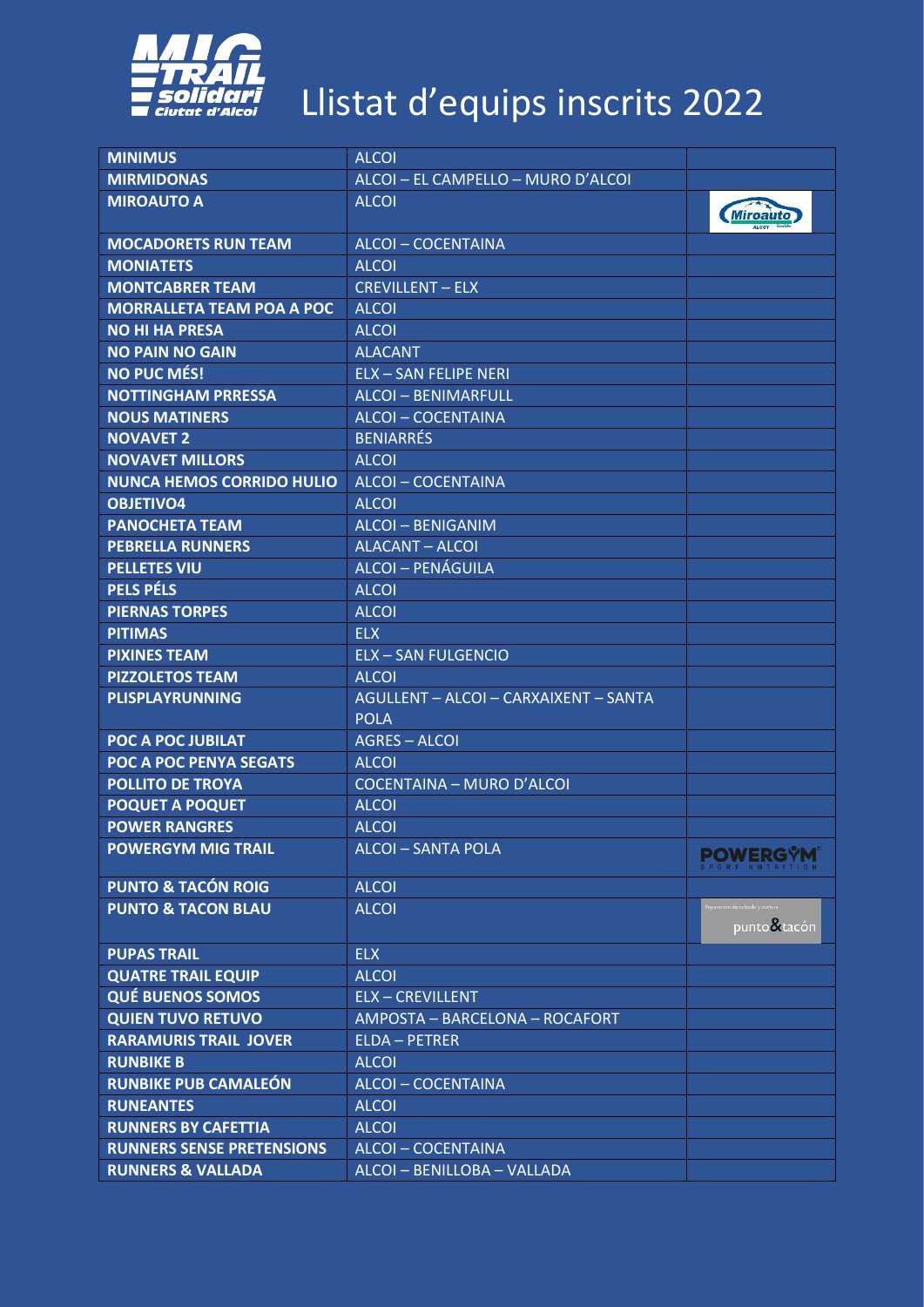

| <b>MINIMUS</b>                   | <b>ALCOI</b>                                         |                                                     |
|----------------------------------|------------------------------------------------------|-----------------------------------------------------|
| <b>MIRMIDONAS</b>                | ALCOI - EL CAMPELLO - MURO D'ALCOI                   |                                                     |
| <b>MIROAUTO A</b>                | <b>ALCOI</b>                                         | <b>Miroauto</b>                                     |
| <b>MOCADORETS RUN TEAM</b>       | <b>ALCOI-COCENTAINA</b>                              |                                                     |
| <b>MONIATETS</b>                 | <b>ALCOI</b>                                         |                                                     |
| <b>MONTCABRER TEAM</b>           | <b>CREVILLENT - ELX</b>                              |                                                     |
| <b>MORRALLETA TEAM POA A POC</b> | <b>ALCOI</b>                                         |                                                     |
| <b>NO HI HA PRESA</b>            | <b>ALCOI</b>                                         |                                                     |
| <b>NO PAIN NO GAIN</b>           | <b>ALACANT</b>                                       |                                                     |
| <b>NO PUC MÉS!</b>               | <b>ELX - SAN FELIPE NERI</b>                         |                                                     |
| <b>NOTTINGHAM PRRESSA</b>        | <b>ALCOI-BENIMARFULL</b>                             |                                                     |
| <b>NOUS MATINERS</b>             | <b>ALCOI-COCENTAINA</b>                              |                                                     |
| <b>NOVAVET 2</b>                 | <b>BENIARRÉS</b>                                     |                                                     |
| <b>NOVAVET MILLORS</b>           | <b>ALCOI</b>                                         |                                                     |
| <b>NUNCA HEMOS CORRIDO HULIO</b> | <b>ALCOI-COCENTAINA</b>                              |                                                     |
| <b>OBJETIVO4</b>                 | <b>ALCOI</b>                                         |                                                     |
| <b>PANOCHETA TEAM</b>            | <b>ALCOI-BENIGANIM</b>                               |                                                     |
| <b>PEBRELLA RUNNERS</b>          | <b>ALACANT - ALCOI</b>                               |                                                     |
| <b>PELLETES VIU</b>              | ALCOI - PENÁGUILA                                    |                                                     |
| <b>PELS PÉLS</b>                 | <b>ALCOI</b>                                         |                                                     |
| <b>PIERNAS TORPES</b>            | <b>ALCOI</b>                                         |                                                     |
| <b>PITIMAS</b>                   | <b>ELX</b>                                           |                                                     |
| <b>PIXINES TEAM</b>              | <b>ELX - SAN FULGENCIO</b>                           |                                                     |
| <b>PIZZOLETOS TEAM</b>           | <b>ALCOI</b>                                         |                                                     |
| <b>PLISPLAYRUNNING</b>           | AGULLENT - ALCOI - CARXAIXENT - SANTA<br><b>POLA</b> |                                                     |
| <b>POC A POC JUBILAT</b>         | <b>AGRES - ALCOI</b>                                 |                                                     |
| <b>POC A POC PENYA SEGATS</b>    | <b>ALCOI</b>                                         |                                                     |
| <b>POLLITO DE TROYA</b>          | <b>COCENTAINA - MURO D'ALCOI</b>                     |                                                     |
| <b>POQUET A POQUET</b>           | <b>ALCOI</b>                                         |                                                     |
| <b>POWER RANGRES</b>             | <b>ALCOI</b>                                         |                                                     |
| <b>POWERGYM MIG TRAIL</b>        | <b>ALCOI - SANTA POLA</b>                            | <b>POWERGŸM</b>                                     |
| <b>PUNTO &amp; TACÓN ROIG</b>    | <b>ALCOI</b>                                         |                                                     |
| <b>PUNTO &amp; TACON BLAU</b>    | <b>ALCOI</b>                                         | .<br>Reparación de calzado y costura<br>punto&tacón |
| <b>PUPAS TRAIL</b>               | <b>ELX</b>                                           |                                                     |
| <b>QUATRE TRAIL EQUIP</b>        | <b>ALCOI</b>                                         |                                                     |
| <b>QUÉ BUENOS SOMOS</b>          | <b>ELX-CREVILLENT</b>                                |                                                     |
| <b>QUIEN TUVO RETUVO</b>         | AMPOSTA - BARCELONA - ROCAFORT                       |                                                     |
| <b>RARAMURIS TRAIL JOVER</b>     | <b>ELDA - PETRER</b>                                 |                                                     |
| <b>RUNBIKE B</b>                 | <b>ALCOI</b>                                         |                                                     |
| <b>RUNBIKE PUB CAMALEÓN</b>      | <b>ALCOI-COCENTAINA</b>                              |                                                     |
| <b>RUNEANTES</b>                 | <b>ALCOI</b>                                         |                                                     |
| <b>RUNNERS BY CAFETTIA</b>       | <b>ALCOI</b>                                         |                                                     |
| <b>RUNNERS SENSE PRETENSIONS</b> | ALCOI-COCENTAINA                                     |                                                     |
| <b>RUNNERS &amp; VALLADA</b>     | ALCOI - BENILLOBA - VALLADA                          |                                                     |